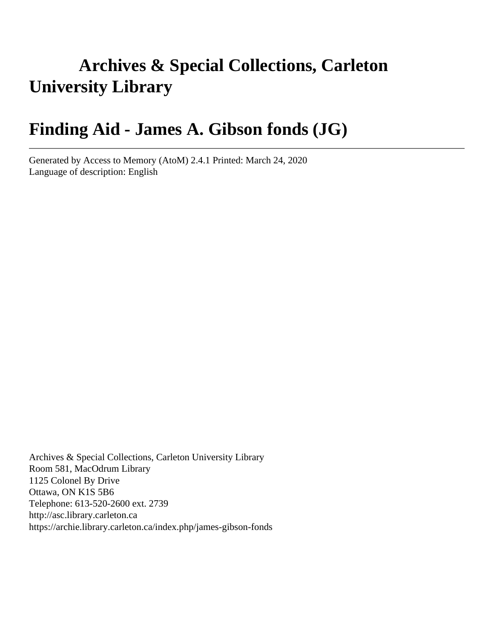# **Archives & Special Collections, Carleton University Library**

# **Finding Aid - James A. Gibson fonds (JG)**

Generated by Access to Memory (AtoM) 2.4.1 Printed: March 24, 2020 Language of description: English

Archives & Special Collections, Carleton University Library Room 581, MacOdrum Library 1125 Colonel By Drive Ottawa, ON K1S 5B6 Telephone: 613-520-2600 ext. 2739 http://asc.library.carleton.ca https://archie.library.carleton.ca/index.php/james-gibson-fonds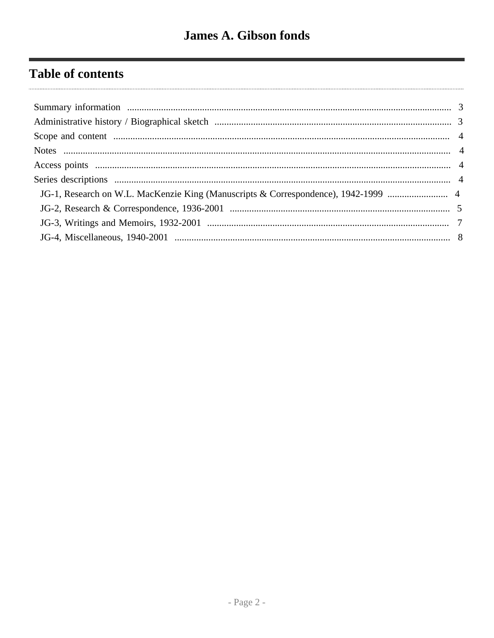# **Table of contents**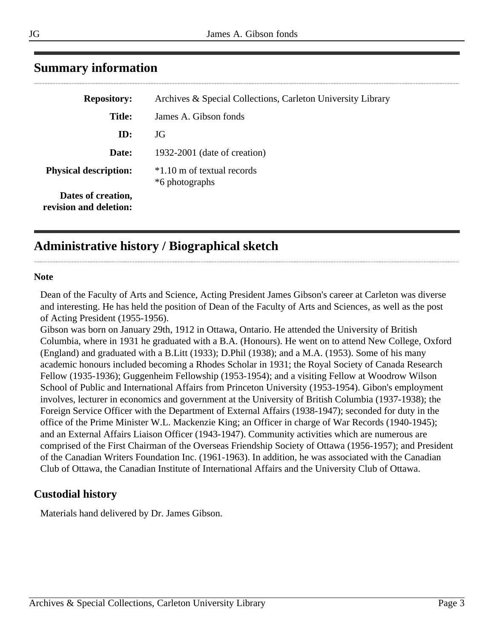| <b>Repository:</b>                           | Archives & Special Collections, Carleton University Library |
|----------------------------------------------|-------------------------------------------------------------|
| <b>Title:</b>                                | James A. Gibson fonds                                       |
| ID:                                          | JG                                                          |
| Date:                                        | 1932-2001 (date of creation)                                |
| <b>Physical description:</b>                 | *1.10 m of textual records<br>*6 photographs                |
| Dates of creation,<br>revision and deletion: |                                                             |

# <span id="page-2-0"></span>**Summary information**

# <span id="page-2-1"></span>**Administrative history / Biographical sketch**

#### **Note**

Dean of the Faculty of Arts and Science, Acting President James Gibson's career at Carleton was diverse and interesting. He has held the position of Dean of the Faculty of Arts and Sciences, as well as the post of Acting President (1955-1956).

Gibson was born on January 29th, 1912 in Ottawa, Ontario. He attended the University of British Columbia, where in 1931 he graduated with a B.A. (Honours). He went on to attend New College, Oxford (England) and graduated with a B.Litt (1933); D.Phil (1938); and a M.A. (1953). Some of his many academic honours included becoming a Rhodes Scholar in 1931; the Royal Society of Canada Research Fellow (1935-1936); Guggenheim Fellowship (1953-1954); and a visiting Fellow at Woodrow Wilson School of Public and International Affairs from Princeton University (1953-1954). Gibon's employment involves, lecturer in economics and government at the University of British Columbia (1937-1938); the Foreign Service Officer with the Department of External Affairs (1938-1947); seconded for duty in the office of the Prime Minister W.L. Mackenzie King; an Officer in charge of War Records (1940-1945); and an External Affairs Liaison Officer (1943-1947). Community activities which are numerous are comprised of the First Chairman of the Overseas Friendship Society of Ottawa (1956-1957); and President of the Canadian Writers Foundation Inc. (1961-1963). In addition, he was associated with the Canadian Club of Ottawa, the Canadian Institute of International Affairs and the University Club of Ottawa.

### **Custodial history**

Materials hand delivered by Dr. James Gibson.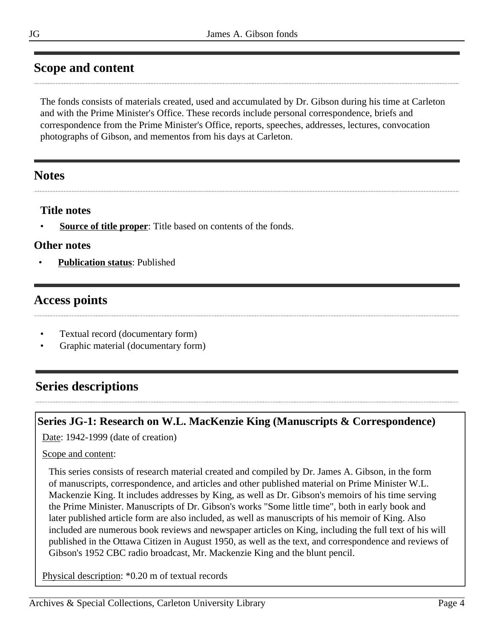# <span id="page-3-0"></span>**Scope and content**

The fonds consists of materials created, used and accumulated by Dr. Gibson during his time at Carleton and with the Prime Minister's Office. These records include personal correspondence, briefs and correspondence from the Prime Minister's Office, reports, speeches, addresses, lectures, convocation photographs of Gibson, and mementos from his days at Carleton.

## <span id="page-3-1"></span>**Notes**

### **Title notes**

**<u>Source of title proper</u>**: Title based on contents of the fonds.

### **Other notes**

• **Publication status**: Published

# <span id="page-3-2"></span>**Access points**

- Textual record (documentary form)
- Graphic material (documentary form)

# <span id="page-3-3"></span>**Series descriptions**

### <span id="page-3-4"></span>**Series JG-1: Research on W.L. MacKenzie King (Manuscripts & Correspondence)**

Date: 1942-1999 (date of creation)

#### Scope and content:

This series consists of research material created and compiled by Dr. James A. Gibson, in the form of manuscripts, correspondence, and articles and other published material on Prime Minister W.L. Mackenzie King. It includes addresses by King, as well as Dr. Gibson's memoirs of his time serving the Prime Minister. Manuscripts of Dr. Gibson's works "Some little time", both in early book and later published article form are also included, as well as manuscripts of his memoir of King. Also included are numerous book reviews and newspaper articles on King, including the full text of his will published in the Ottawa Citizen in August 1950, as well as the text, and correspondence and reviews of Gibson's 1952 CBC radio broadcast, Mr. Mackenzie King and the blunt pencil.

Physical description: \*0.20 m of textual records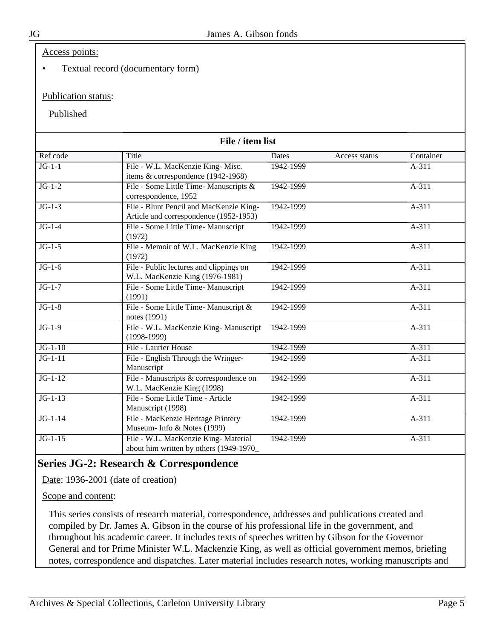Access points:

• Textual record (documentary form)

#### Publication status:

Published

| File / item list |                                                                                   |                               |           |  |  |
|------------------|-----------------------------------------------------------------------------------|-------------------------------|-----------|--|--|
| Ref code         | Title                                                                             | <b>Dates</b><br>Access status | Container |  |  |
| $JG-1-1$         | File - W.L. MacKenzie King- Misc.<br>items & correspondence (1942-1968)           | 1942-1999                     | $A-311$   |  |  |
| $JG-1-2$         | File - Some Little Time- Manuscripts &<br>correspondence, 1952                    | 1942-1999                     | $A-311$   |  |  |
| $JG-1-3$         | File - Blunt Pencil and MacKenzie King-<br>Article and correspondence (1952-1953) | 1942-1999                     | $A-311$   |  |  |
| $JG-1-4$         | File - Some Little Time- Manuscript<br>(1972)                                     | 1942-1999                     | $A-311$   |  |  |
| $JG-1-5$         | File - Memoir of W.L. MacKenzie King<br>(1972)                                    | 1942-1999                     | $A-311$   |  |  |
| $JG-1-6$         | File - Public lectures and clippings on<br>W.L. MacKenzie King (1976-1981)        | 1942-1999                     | $A-311$   |  |  |
| $JG-1-7$         | File - Some Little Time- Manuscript<br>(1991)                                     | 1942-1999                     | A-311     |  |  |
| $JG-1-8$         | File - Some Little Time- Manuscript &<br>notes (1991)                             | 1942-1999                     | $A-311$   |  |  |
| $JG-1-9$         | File - W.L. MacKenzie King- Manuscript<br>$(1998-1999)$                           | 1942-1999                     | $A-311$   |  |  |
| $JG-1-10$        | File - Laurier House                                                              | 1942-1999                     | $A-311$   |  |  |
| $JG-1-11$        | File - English Through the Wringer-<br>Manuscript                                 | 1942-1999                     | A-311     |  |  |
| $JG-1-12$        | File - Manuscripts & correspondence on<br>W.L. MacKenzie King (1998)              | 1942-1999                     | $A-311$   |  |  |
| $JG-1-13$        | File - Some Little Time - Article<br>Manuscript (1998)                            | 1942-1999                     | A-311     |  |  |
| $JG-1-14$        | File - MacKenzie Heritage Printery<br>Museum- Info & Notes (1999)                 | 1942-1999                     | $A-311$   |  |  |
| $JG-1-15$        | File - W.L. MacKenzie King- Material<br>about him written by others (1949-1970    | 1942-1999                     | $A-311$   |  |  |

## <span id="page-4-0"></span>**Series JG-2: Research & Correspondence**

Date: 1936-2001 (date of creation)

Scope and content:

This series consists of research material, correspondence, addresses and publications created and compiled by Dr. James A. Gibson in the course of his professional life in the government, and throughout his academic career. It includes texts of speeches written by Gibson for the Governor General and for Prime Minister W.L. Mackenzie King, as well as official government memos, briefing notes, correspondence and dispatches. Later material includes research notes, working manuscripts and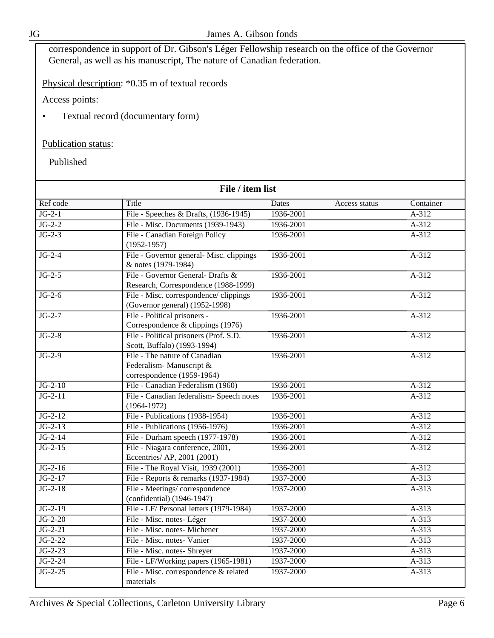correspondence in support of Dr. Gibson's Léger Fellowship research on the office of the Governor General, as well as his manuscript, The nature of Canadian federation.

Physical description: \*0.35 m of textual records

Access points:

• Textual record (documentary form)

#### Publication status:

Published

| File / item list    |                                                                                        |              |               |           |
|---------------------|----------------------------------------------------------------------------------------|--------------|---------------|-----------|
| Ref code            | Title                                                                                  | <b>Dates</b> | Access status | Container |
| $JG-2-1$            | File - Speeches & Drafts, (1936-1945)                                                  | 1936-2001    |               | $A-312$   |
| $\overline{JG-2-2}$ | File - Misc. Documents (1939-1943)                                                     | 1936-2001    |               | $A-312$   |
| $JG-2-3$            | File - Canadian Foreign Policy<br>$(1952 - 1957)$                                      | 1936-2001    |               | $A-312$   |
| $JG-2-4$            | File - Governor general- Misc. clippings<br>& notes (1979-1984)                        | 1936-2001    |               | $A-312$   |
| $JG-2-5$            | File - Governor General- Drafts &<br>Research, Correspondence (1988-1999)              | 1936-2001    |               | A-312     |
| $JG-2-6$            | File - Misc. correspondence/ clippings<br>(Governor general) (1952-1998)               | 1936-2001    |               | $A-312$   |
| $JG-2-7$            | File - Political prisoners -<br>Correspondence & clippings (1976)                      | 1936-2001    |               | $A-312$   |
| $JG-2-8$            | File - Political prisoners (Prof. S.D.<br>Scott, Buffalo) (1993-1994)                  | 1936-2001    |               | $A-312$   |
| $JG-2-9$            | File - The nature of Canadian<br>Federalism-Manuscript &<br>correspondence (1959-1964) | 1936-2001    |               | A-312     |
| $JG-2-10$           | File - Canadian Federalism (1960)                                                      | 1936-2001    |               | $A-312$   |
| $JG-2-11$           | File - Canadian federalism- Speech notes<br>$(1964 - 1972)$                            | 1936-2001    |               | $A-312$   |
| $JG-2-12$           | File - Publications (1938-1954)                                                        | 1936-2001    |               | $A-312$   |
| $JG-2-13$           | File - Publications (1956-1976)                                                        | 1936-2001    |               | $A-312$   |
| $JG-2-14$           | File - Durham speech (1977-1978)                                                       | 1936-2001    |               | $A-312$   |
| $JG-2-15$           | File - Niagara conference, 2001,<br>Eccentries/ AP, 2001 (2001)                        | 1936-2001    |               | $A-312$   |
| $JG-2-16$           | File - The Royal Visit, 1939 (2001)                                                    | 1936-2001    |               | $A-312$   |
| $JG-2-17$           | File - Reports & remarks (1937-1984)                                                   | 1937-2000    |               | $A-313$   |
| $JG-2-18$           | File - Meetings/correspondence<br>(confidential) (1946-1947)                           | 1937-2000    |               | $A-313$   |
| $JG-2-19$           | File - LF/ Personal letters (1979-1984)                                                | 1937-2000    |               | $A-313$   |
| $JG-2-20$           | File - Misc. notes- Léger                                                              | 1937-2000    |               | $A-313$   |
| $JG-2-21$           | File - Misc. notes- Michener                                                           | 1937-2000    |               | $A-313$   |
| $JG-2-22$           | File - Misc. notes- Vanier                                                             | 1937-2000    |               | $A-313$   |
| $JG-2-23$           | File - Misc. notes- Shreyer                                                            | 1937-2000    |               | $A-313$   |
| $JG-2-24$           | File - LF/Working papers (1965-1981)                                                   | 1937-2000    |               | A-313     |
| $JG-2-25$           | File - Misc. correspondence & related<br>materials                                     | 1937-2000    |               | $A-313$   |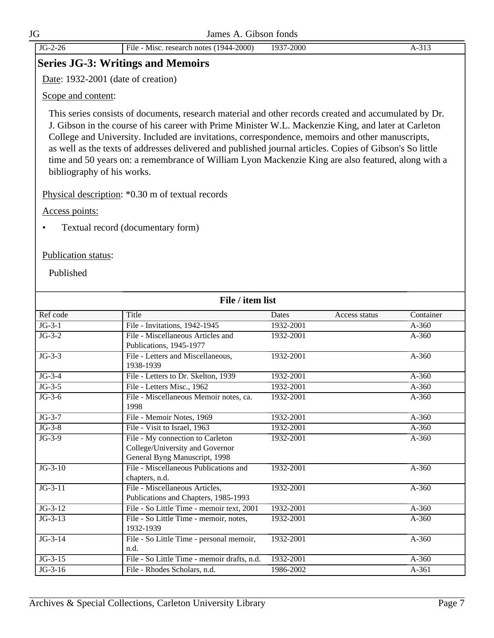|                     | Date: 1932-2001 (date of creation)                                                                                                                                                                                                                                                                                                                                                                                                                                                                                                                                |           |               |           |
|---------------------|-------------------------------------------------------------------------------------------------------------------------------------------------------------------------------------------------------------------------------------------------------------------------------------------------------------------------------------------------------------------------------------------------------------------------------------------------------------------------------------------------------------------------------------------------------------------|-----------|---------------|-----------|
| Scope and content:  |                                                                                                                                                                                                                                                                                                                                                                                                                                                                                                                                                                   |           |               |           |
|                     | This series consists of documents, research material and other records created and accumulated by Dr.<br>J. Gibson in the course of his career with Prime Minister W.L. Mackenzie King, and later at Carleton<br>College and University. Included are invitations, correspondence, memoirs and other manuscripts,<br>as well as the texts of addresses delivered and published journal articles. Copies of Gibson's So little<br>time and 50 years on: a remembrance of William Lyon Mackenzie King are also featured, along with a<br>bibliography of his works. |           |               |           |
|                     | Physical description: *0.30 m of textual records                                                                                                                                                                                                                                                                                                                                                                                                                                                                                                                  |           |               |           |
| Access points:      |                                                                                                                                                                                                                                                                                                                                                                                                                                                                                                                                                                   |           |               |           |
| $\bullet$           | Textual record (documentary form)                                                                                                                                                                                                                                                                                                                                                                                                                                                                                                                                 |           |               |           |
| Publication status: |                                                                                                                                                                                                                                                                                                                                                                                                                                                                                                                                                                   |           |               |           |
| Published           |                                                                                                                                                                                                                                                                                                                                                                                                                                                                                                                                                                   |           |               |           |
|                     | File / item list                                                                                                                                                                                                                                                                                                                                                                                                                                                                                                                                                  |           |               |           |
| Ref code            | Title                                                                                                                                                                                                                                                                                                                                                                                                                                                                                                                                                             | Dates     | Access status | Container |
| $JG-3-1$            | File - Invitations, 1942-1945                                                                                                                                                                                                                                                                                                                                                                                                                                                                                                                                     | 1932-2001 |               | $A-360$   |
| $JG-3-2$            | File - Miscellaneous Articles and<br>Publications, 1945-1977                                                                                                                                                                                                                                                                                                                                                                                                                                                                                                      | 1932-2001 |               | A-360     |
| $JG-3-3$            | File - Letters and Miscellaneous,<br>1938-1939                                                                                                                                                                                                                                                                                                                                                                                                                                                                                                                    | 1932-2001 |               | $A-360$   |
| $JG-3-4$            | File - Letters to Dr. Skelton, 1939                                                                                                                                                                                                                                                                                                                                                                                                                                                                                                                               | 1932-2001 |               | $A-360$   |
| $JG-3-5$            | File - Letters Misc., 1962                                                                                                                                                                                                                                                                                                                                                                                                                                                                                                                                        | 1932-2001 |               | A-360     |
| $JG-3-6$            | File - Miscellaneous Memoir notes, ca.<br>1998                                                                                                                                                                                                                                                                                                                                                                                                                                                                                                                    | 1932-2001 |               | $A-360$   |
| $JG-3-7$            | File - Memoir Notes, 1969                                                                                                                                                                                                                                                                                                                                                                                                                                                                                                                                         | 1932-2001 |               | $A-360$   |
| $JG-3-8$            | File - Visit to Israel, 1963                                                                                                                                                                                                                                                                                                                                                                                                                                                                                                                                      | 1932-2001 |               | $A-360$   |
| $JG-3-9$            | File - My connection to Carleton<br>College/University and Governor<br>General Byng Manuscript, 1998                                                                                                                                                                                                                                                                                                                                                                                                                                                              | 1932-2001 |               | $A-360$   |
| $JG-3-10$           | File - Miscellaneous Publications and<br>chapters, n.d.                                                                                                                                                                                                                                                                                                                                                                                                                                                                                                           | 1932-2001 |               | $A-360$   |
| $JG-3-11$           | File - Miscellaneous Articles,<br>Publications and Chapters, 1985-1993                                                                                                                                                                                                                                                                                                                                                                                                                                                                                            | 1932-2001 |               | $A-360$   |
| $JG-3-12$           | File - So Little Time - memoir text, 2001                                                                                                                                                                                                                                                                                                                                                                                                                                                                                                                         | 1932-2001 |               | $A-360$   |
| $JG-3-13$           | File - So Little Time - memoir, notes,<br>1932-1939                                                                                                                                                                                                                                                                                                                                                                                                                                                                                                               | 1932-2001 |               | $A-360$   |
| $JG-3-14$           | File - So Little Time - personal memoir,<br>n.d.                                                                                                                                                                                                                                                                                                                                                                                                                                                                                                                  | 1932-2001 |               | $A-360$   |
| $JG-3-15$           | File - So Little Time - memoir drafts, n.d.                                                                                                                                                                                                                                                                                                                                                                                                                                                                                                                       | 1932-2001 |               | $A-360$   |
|                     |                                                                                                                                                                                                                                                                                                                                                                                                                                                                                                                                                                   |           |               |           |

<span id="page-6-0"></span>**Series JG-3: Writings and Memoirs**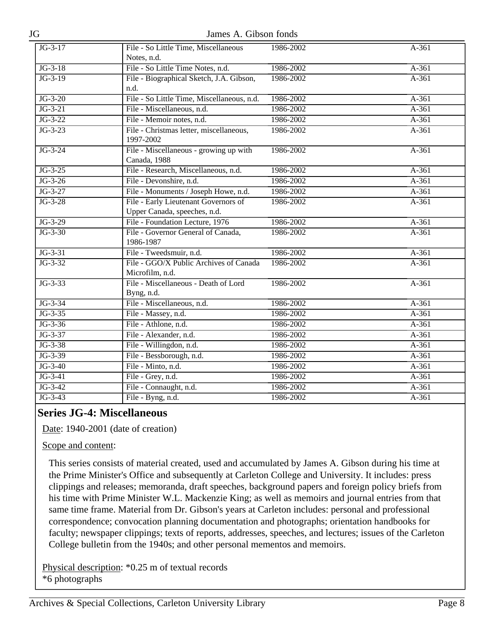JG James A. Gibson fonds

| $JG-3-17$ | File - So Little Time, Miscellaneous<br>Notes, n.d.                  | 1986-2002 | A-361   |
|-----------|----------------------------------------------------------------------|-----------|---------|
| $JG-3-18$ | File - So Little Time Notes, n.d.                                    | 1986-2002 | $A-361$ |
| $JG-3-19$ | File - Biographical Sketch, J.A. Gibson,                             | 1986-2002 | $A-361$ |
|           | n.d.                                                                 |           |         |
| $JG-3-20$ | File - So Little Time, Miscellaneous, n.d.                           | 1986-2002 | A-361   |
| $JG-3-21$ | File - Miscellaneous, n.d.                                           | 1986-2002 | $A-361$ |
| $JG-3-22$ | File - Memoir notes, n.d.                                            | 1986-2002 | $A-361$ |
| $JG-3-23$ | File - Christmas letter, miscellaneous,<br>1997-2002                 | 1986-2002 | $A-361$ |
| $JG-3-24$ | File - Miscellaneous - growing up with<br>Canada, 1988               | 1986-2002 | $A-361$ |
| $JG-3-25$ | File - Research, Miscellaneous, n.d.                                 | 1986-2002 | $A-361$ |
| $JG-3-26$ | File - Devonshire, n.d.                                              | 1986-2002 | $A-361$ |
| $JG-3-27$ | File - Monuments / Joseph Howe, n.d.                                 | 1986-2002 | $A-361$ |
| $JG-3-28$ | File - Early Lieutenant Governors of<br>Upper Canada, speeches, n.d. | 1986-2002 | $A-361$ |
| $JG-3-29$ | File - Foundation Lecture, 1976                                      | 1986-2002 | $A-361$ |
| $JG-3-30$ | File - Governor General of Canada,                                   | 1986-2002 | A-361   |
|           | 1986-1987                                                            |           |         |
| $JG-3-31$ | File - Tweedsmuir, n.d.                                              | 1986-2002 | $A-361$ |
| $JG-3-32$ | File - GGO/X Public Archives of Canada<br>Microfilm, n.d.            | 1986-2002 | A-361   |
| $JG-3-33$ | File - Miscellaneous - Death of Lord<br>Byng, n.d.                   | 1986-2002 | $A-361$ |
| $JG-3-34$ | File - Miscellaneous, n.d.                                           | 1986-2002 | $A-361$ |
| $JG-3-35$ | File - Massey, n.d.                                                  | 1986-2002 | $A-361$ |
| $JG-3-36$ | File - Athlone, n.d.                                                 | 1986-2002 | $A-361$ |
| $JG-3-37$ | File - Alexander, n.d.                                               | 1986-2002 | $A-361$ |
| $JG-3-38$ | File - Willingdon, n.d.                                              | 1986-2002 | $A-361$ |
| $JG-3-39$ | File - Bessborough, n.d.                                             | 1986-2002 | $A-361$ |
| $JG-3-40$ | File - Minto, n.d.                                                   | 1986-2002 | $A-361$ |
| $JG-3-41$ | File - Grey, n.d.                                                    | 1986-2002 | $A-361$ |
| $JG-3-42$ | File - Connaught, n.d.                                               | 1986-2002 | $A-361$ |
| $JG-3-43$ | File - Byng, n.d.                                                    | 1986-2002 | $A-361$ |

### <span id="page-7-0"></span>**Series JG-4: Miscellaneous**

Date: 1940-2001 (date of creation)

#### Scope and content:

This series consists of material created, used and accumulated by James A. Gibson during his time at the Prime Minister's Office and subsequently at Carleton College and University. It includes: press clippings and releases; memoranda, draft speeches, background papers and foreign policy briefs from his time with Prime Minister W.L. Mackenzie King; as well as memoirs and journal entries from that same time frame. Material from Dr. Gibson's years at Carleton includes: personal and professional correspondence; convocation planning documentation and photographs; orientation handbooks for faculty; newspaper clippings; texts of reports, addresses, speeches, and lectures; issues of the Carleton College bulletin from the 1940s; and other personal mementos and memoirs.

Physical description: \*0.25 m of textual records \*6 photographs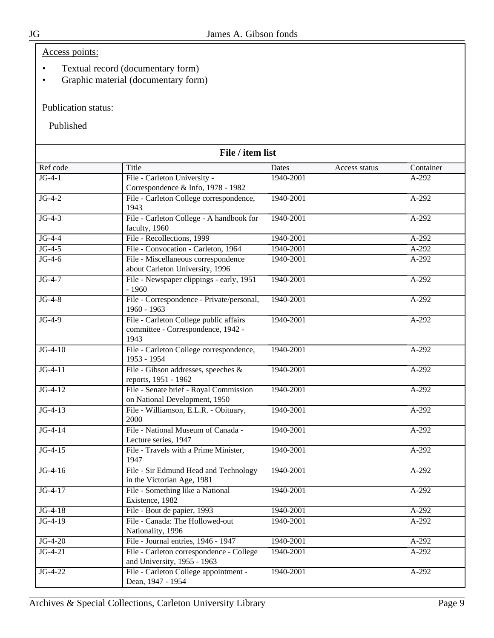### Access points:

- Textual record (documentary form)
- Graphic material (documentary form)

### Publication status:

Published

| File / item list |                                                                                      |           |               |           |  |
|------------------|--------------------------------------------------------------------------------------|-----------|---------------|-----------|--|
| Ref code         | Title                                                                                | Dates     | Access status | Container |  |
| $JG-4-1$         | File - Carleton University -<br>Correspondence & Info, 1978 - 1982                   | 1940-2001 |               | $A-292$   |  |
| $JG-4-2$         | File - Carleton College correspondence,<br>1943                                      | 1940-2001 |               | A-292     |  |
| $JG-4-3$         | File - Carleton College - A handbook for<br>faculty, 1960                            | 1940-2001 |               | $A-292$   |  |
| $JG-4-4$         | File - Recollections, 1999                                                           | 1940-2001 |               | $A-292$   |  |
| $JG-4-5$         | File - Convocation - Carleton, 1964                                                  | 1940-2001 |               | A-292     |  |
| $JG-4-6$         | File - Miscellaneous correspondence<br>about Carleton University, 1996               | 1940-2001 |               | $A-292$   |  |
| $JG-4-7$         | File - Newspaper clippings - early, 1951<br>$-1960$                                  | 1940-2001 |               | $A-292$   |  |
| $JG-4-8$         | File - Correspondence - Private/personal,<br>1960 - 1963                             | 1940-2001 |               | A-292     |  |
| $JG-4-9$         | File - Carleton College public affairs<br>committee - Correspondence, 1942 -<br>1943 | 1940-2001 |               | $A-292$   |  |
| $JG-4-10$        | File - Carleton College correspondence,<br>1953 - 1954                               | 1940-2001 |               | $A-292$   |  |
| $JG-4-11$        | File - Gibson addresses, speeches &<br>reports, 1951 - 1962                          | 1940-2001 |               | A-292     |  |
| $JG-4-12$        | File - Senate brief - Royal Commission<br>on National Development, 1950              | 1940-2001 |               | A-292     |  |
| $JG-4-13$        | File - Williamson, E.L.R. - Obituary,<br>2000                                        | 1940-2001 |               | A-292     |  |
| $JG-4-14$        | File - National Museum of Canada -<br>Lecture series, 1947                           | 1940-2001 |               | A-292     |  |
| $JG-4-15$        | File - Travels with a Prime Minister,<br>1947                                        | 1940-2001 |               | $A-292$   |  |
| $JG-4-16$        | File - Sir Edmund Head and Technology<br>in the Victorian Age, 1981                  | 1940-2001 |               | $A-292$   |  |
| $JG-4-17$        | File - Something like a National<br>Existence, 1982                                  | 1940-2001 |               | A-292     |  |
| $JG-4-18$        | File - Bout de papier, 1993                                                          | 1940-2001 |               | $A-292$   |  |
| $JG-4-19$        | File - Canada: The Hollowed-out<br>Nationality, 1996                                 | 1940-2001 |               | A-292     |  |
| $JG-4-20$        | File - Journal entries, 1946 - 1947                                                  | 1940-2001 |               | A-292     |  |
| $JG-4-21$        | File - Carleton correspondence - College<br>and University, 1955 - 1963              | 1940-2001 |               | A-292     |  |
| $JG-4-22$        | File - Carleton College appointment -<br>Dean, 1947 - 1954                           | 1940-2001 |               | A-292     |  |